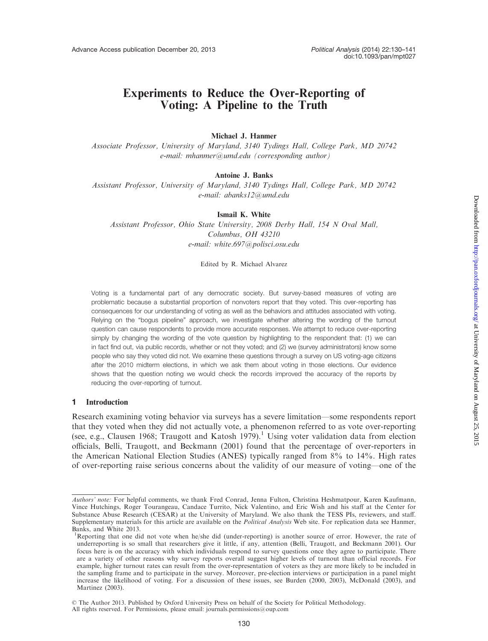# Experiments to Reduce the Over-Reporting of Voting: A Pipeline to the Truth

# Michael J. Hanmer

Associate Professor, University of Maryland, 3140 Tydings Hall, College Park, MD 20742  $e$ -mail: mhanmer@umd.edu (corresponding author)

# Antoine J. Banks

Assistant Professor, University of Maryland, 3140 Tydings Hall, College Park, MD 20742 e-mail: abanks12@umd.edu

# Ismail K. White

Assistant Professor, Ohio State University, 2008 Derby Hall, 154 N Oval Mall, Columbus, OH 43210 e-mail: white.697@polisci.osu.edu

#### Edited by R. Michael Alvarez

Voting is a fundamental part of any democratic society. But survey-based measures of voting are problematic because a substantial proportion of nonvoters report that they voted. This over-reporting has consequences for our understanding of voting as well as the behaviors and attitudes associated with voting. Relying on the "bogus pipeline" approach, we investigate whether altering the wording of the turnout question can cause respondents to provide more accurate responses. We attempt to reduce over-reporting simply by changing the wording of the vote question by highlighting to the respondent that: (1) we can in fact find out, via public records, whether or not they voted; and (2) we (survey administrators) know some people who say they voted did not. We examine these questions through a survey on US voting-age citizens after the 2010 midterm elections, in which we ask them about voting in those elections. Our evidence shows that the question noting we would check the records improved the accuracy of the reports by reducing the over-reporting of turnout.

## 1 Introduction

Research examining voting behavior via surveys has a severe limitation—some respondents report that they voted when they did not actually vote, a phenomenon referred to as vote over-reporting (see, e.g., [Clausen 1968](#page-11-0); [Traugott and Katosh 1979](#page-11-0)).<sup>1</sup> Using voter validation data from election officials, [Belli, Traugott, and Beckmann \(2001\)](#page-10-0) found that the percentage of over-reporters in the American National Election Studies (ANES) typically ranged from 8% to 14%. High rates of over-reporting raise serious concerns about the validity of our measure of voting—one of the

Authors' note: For helpful comments, we thank Fred Conrad, Jenna Fulton, Christina Heshmatpour, Karen Kaufmann, Vince Hutchings, Roger Tourangeau, Candace Turrito, Nick Valentino, and Eric Wish and his staff at the Center for Substance Abuse Research (CESAR) at the University of Maryland. We also thank the TESS PIs, reviewers, and staff. [Supplementary materials](http://pan.oxfordjournals.org/lookup/suppl/doi:10.1093/pan/mpt027/-/DC1) for this article are available on the *Political Analysis* Web site. For replication data see Hanmer, Banks, and White 2013.

<sup>&</sup>lt;sup>1</sup>Reporting that one did not vote when he/she did (under-reporting) is another source of error. However, the rate of underreporting is so small that researchers give it little, if any, attention [\(Belli, Traugott, and Beckmann 2001\)](#page-10-0). Our focus here is on the accuracy with which individuals respond to survey questions once they agree to participate. There are a variety of other reasons why survey reports overall suggest higher levels of turnout than official records. For example, higher turnout rates can result from the over-representation of voters as they are more likely to be included in the sampling frame and to participate in the survey. Moreover, pre-election interviews or participation in a panel might increase the likelihood of voting. For a discussion of these issues, see Burden [\(2000](#page-10-0), [2003\)](#page-10-0), [McDonald \(2003\),](#page-11-0) and [Martinez \(2003\)](#page-11-0).

<sup>-</sup> The Author 2013. Published by Oxford University Press on behalf of the Society for Political Methodology.

All rights reserved. For Permissions, please email: journals.permissions@oup.com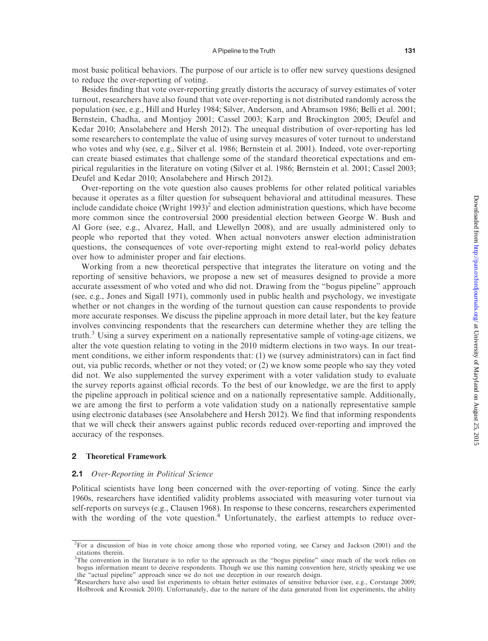#### A Pipeline to the Truth 131

most basic political behaviors. The purpose of our article is to offer new survey questions designed to reduce the over-reporting of voting.

Besides finding that vote over-reporting greatly distorts the accuracy of survey estimates of voter turnout, researchers have also found that vote over-reporting is not distributed randomly across the population (see, e.g., [Hill and Hurley 1984](#page-11-0); [Silver, Anderson, and Abramson 1986;](#page-11-0) [Belli et al. 2001;](#page-10-0) [Bernstein, Chadha, and Montjoy 2001;](#page-10-0) [Cassel 2003; Karp and Brockington 2005](#page-11-0); [Deufel and](#page-11-0) [Kedar 2010](#page-11-0); [Ansolabehere and Hersh 2012](#page-10-0)). The unequal distribution of over-reporting has led some researchers to contemplate the value of using survey measures of voter turnout to understand who votes and why (see, e.g., [Silver et al. 1986;](#page-11-0) [Bernstein et al. 2001\)](#page-10-0). Indeed, vote over-reporting can create biased estimates that challenge some of the standard theoretical expectations and empirical regularities in the literature on voting ([Silver et al. 1986](#page-11-0); [Bernstein et al. 2001](#page-10-0); [Cassel 2003;](#page-11-0) [Deufel and Kedar 2010;](#page-11-0) [Ansolabehere and Hirsch 2012](#page-10-0)).

Over-reporting on the vote question also causes problems for other related political variables because it operates as a filter question for subsequent behavioral and attitudinal measures. These include candidate choice (Wright  $1993$ )<sup>2</sup> and election administration questions, which have become more common since the controversial 2000 presidential election between George W. Bush and Al Gore (see, e.g., [Alvarez, Hall, and Llewellyn 2008\)](#page-10-0), and are usually administered only to people who reported that they voted. When actual nonvoters answer election administration questions, the consequences of vote over-reporting might extend to real-world policy debates over how to administer proper and fair elections.

Working from a new theoretical perspective that integrates the literature on voting and the reporting of sensitive behaviors, we propose a new set of measures designed to provide a more accurate assessment of who voted and who did not. Drawing from the "bogus pipeline" approach (see, e.g., [Jones and Sigall 1971](#page-11-0)), commonly used in public health and psychology, we investigate whether or not changes in the wording of the turnout question can cause respondents to provide more accurate responses. We discuss the pipeline approach in more detail later, but the key feature involves convincing respondents that the researchers can determine whether they are telling the truth.<sup>3</sup> Using a survey experiment on a nationally representative sample of voting-age citizens, we alter the vote question relating to voting in the 2010 midterm elections in two ways. In our treatment conditions, we either inform respondents that: (1) we (survey administrators) can in fact find out, via public records, whether or not they voted; or (2) we know some people who say they voted did not. We also supplemented the survey experiment with a voter validation study to evaluate the survey reports against official records. To the best of our knowledge, we are the first to apply the pipeline approach in political science and on a nationally representative sample. Additionally, we are among the first to perform a vote validation study on a nationally representative sample using electronic databases (see [Ansolabehere and Hersh 2012\)](#page-10-0). We find that informing respondents that we will check their answers against public records reduced over-reporting and improved the accuracy of the responses.

### 2 Theoretical Framework

#### 2.1 Over-Reporting in Political Science

Political scientists have long been concerned with the over-reporting of voting. Since the early 1960s, researchers have identified validity problems associated with measuring voter turnout via self-reports on surveys (e.g., [Clausen 1968](#page-11-0)). In response to these concerns, researchers experimented with the wording of the vote question.<sup>4</sup> Unfortunately, the earliest attempts to reduce over-

<sup>2</sup> For a discussion of bias in vote choice among those who reported voting, see [Carsey and Jackson \(2001\)](#page-11-0) and the citations therein.

<sup>&</sup>lt;sup>3</sup>The convention in the literature is to refer to the approach as the "bogus pipeline" since much of the work relies on bogus information meant to deceive respondents. Though we use this naming convention here, strictly speaking we use the "actual pipeline" approach since we do not use deception in our research design.

<sup>4</sup> Researchers have also used list experiments to obtain better estimates of sensitive behavior (see, e.g., [Corstange 2009](#page-11-0); [Holbrook and Krosnick 2010\)](#page-11-0). Unfortunately, due to the nature of the data generated from list experiments, the ability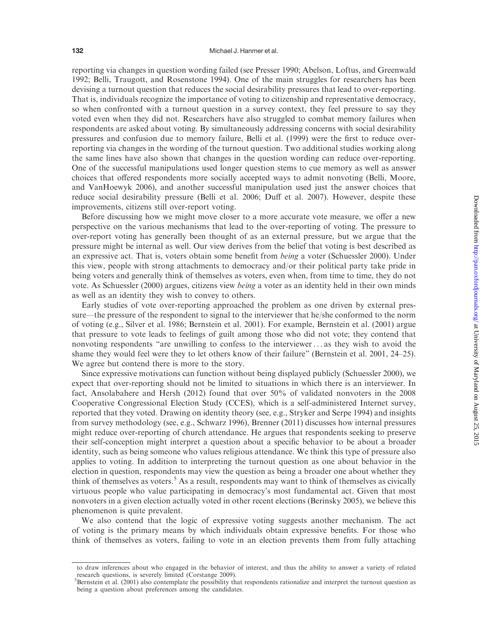reporting via changes in question wording failed (see [Presser 1990](#page-11-0); [Abelson, Loftus, and Greenwald](#page-10-0) [1992; Belli, Traugott, and Rosenstone 1994](#page-10-0)). One of the main struggles for researchers has been devising a turnout question that reduces the social desirability pressures that lead to over-reporting. That is, individuals recognize the importance of voting to citizenship and representative democracy, so when confronted with a turnout question in a survey context, they feel pressure to say they voted even when they did not. Researchers have also struggled to combat memory failures when respondents are asked about voting. By simultaneously addressing concerns with social desirability pressures and confusion due to memory failure, [Belli et al. \(1999\)](#page-10-0) were the first to reduce overreporting via changes in the wording of the turnout question. Two additional studies working along the same lines have also shown that changes in the question wording can reduce over-reporting. One of the successful manipulations used longer question stems to cue memory as well as answer choices that offered respondents more socially accepted ways to admit nonvoting [\(Belli, Moore,](#page-10-0) [and VanHoewyk 2006\)](#page-10-0), and another successful manipulation used just the answer choices that reduce social desirability pressure [\(Belli et al. 2006;](#page-10-0) [Duff et al. 2007](#page-11-0)). However, despite these improvements, citizens still over-report voting.

Before discussing how we might move closer to a more accurate vote measure, we offer a new perspective on the various mechanisms that lead to the over-reporting of voting. The pressure to over-report voting has generally been thought of as an external pressure, but we argue that the pressure might be internal as well. Our view derives from the belief that voting is best described as an expressive act. That is, voters obtain some benefit from being a voter [\(Schuessler 2000](#page-11-0)). Under this view, people with strong attachments to democracy and/or their political party take pride in being voters and generally think of themselves as voters, even when, from time to time, they do not vote. As [Schuessler \(2000\)](#page-11-0) argues, citizens view being a voter as an identity held in their own minds as well as an identity they wish to convey to others.

Early studies of vote over-reporting approached the problem as one driven by external pressure—the pressure of the respondent to signal to the interviewer that he/she conformed to the norm of voting (e.g., [Silver et al. 1986;](#page-11-0) [Bernstein et al. 2001\)](#page-10-0). For example, [Bernstein et al. \(2001\)](#page-10-0) argue that pressure to vote leads to feelings of guilt among those who did not vote; they contend that nonvoting respondents "are unwilling to confess to the interviewer... as they wish to avoid the shame they would feel were they to let others know of their failure" [\(Bernstein et al. 2001,](#page-10-0) 24–25). We agree but contend there is more to the story.

Since expressive motivations can function without being displayed publicly [\(Schuessler 2000\)](#page-11-0), we expect that over-reporting should not be limited to situations in which there is an interviewer. In fact, [Ansolabahere and Hersh \(2012\)](#page-10-0) found that over 50% of validated nonvoters in the 2008 Cooperative Congressional Election Study (CCES), which is a self-administered Internet survey, reported that they voted. Drawing on identity theory (see, e.g., [Stryker and Serpe 1994](#page-11-0)) and insights from survey methodology (see, e.g., [Schwarz 1996](#page-11-0)), [Brenner \(2011\)](#page-10-0) discusses how internal pressures might reduce over-reporting of church attendance. He argues that respondents seeking to preserve their self-conception might interpret a question about a specific behavior to be about a broader identity, such as being someone who values religious attendance. We think this type of pressure also applies to voting. In addition to interpreting the turnout question as one about behavior in the election in question, respondents may view the question as being a broader one about whether they think of themselves as voters.<sup>5</sup> As a result, respondents may want to think of themselves as civically virtuous people who value participating in democracy's most fundamental act. Given that most nonvoters in a given election actually voted in other recent elections ([Berinsky 2005](#page-10-0)), we believe this phenomenon is quite prevalent.

We also contend that the logic of expressive voting suggests another mechanism. The act of voting is the primary means by which individuals obtain expressive benefits. For those who think of themselves as voters, failing to vote in an election prevents them from fully attaching

to draw inferences about who engaged in the behavior of interest, and thus the ability to answer a variety of related research questions, is severely limited [\(Corstange 2009](#page-11-0)).

 ${}^{5}$ [Bernstein et al. \(2001\)](#page-10-0) also contemplate the possibility that respondents rationalize and interpret the turnout question as being a question about preferences among the candidates.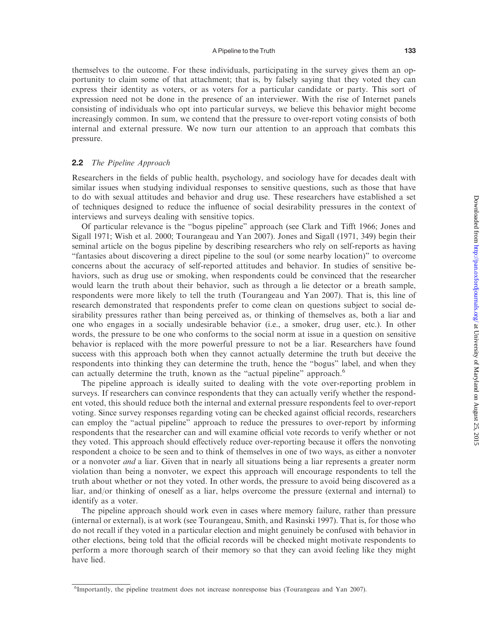#### A Pipeline to the Truth 133

themselves to the outcome. For these individuals, participating in the survey gives them an opportunity to claim some of that attachment; that is, by falsely saying that they voted they can express their identity as voters, or as voters for a particular candidate or party. This sort of expression need not be done in the presence of an interviewer. With the rise of Internet panels consisting of individuals who opt into particular surveys, we believe this behavior might become increasingly common. In sum, we contend that the pressure to over-report voting consists of both internal and external pressure. We now turn our attention to an approach that combats this pressure.

# **2.2** The Pipeline Approach

Researchers in the fields of public health, psychology, and sociology have for decades dealt with similar issues when studying individual responses to sensitive questions, such as those that have to do with sexual attitudes and behavior and drug use. These researchers have established a set of techniques designed to reduce the influence of social desirability pressures in the context of interviews and surveys dealing with sensitive topics.

Of particular relevance is the "bogus pipeline" approach (see [Clark and Tifft 1966](#page-11-0); [Jones and](#page-11-0) [Sigall 1971](#page-11-0); [Wish et al. 2000](#page-11-0); [Tourangeau and Yan 2007\)](#page-11-0). Jones and Sigall ([1971,](#page-11-0) 349) begin their seminal article on the bogus pipeline by describing researchers who rely on self-reports as having "fantasies about discovering a direct pipeline to the soul (or some nearby location)" to overcome concerns about the accuracy of self-reported attitudes and behavior. In studies of sensitive behaviors, such as drug use or smoking, when respondents could be convinced that the researcher would learn the truth about their behavior, such as through a lie detector or a breath sample, respondents were more likely to tell the truth ([Tourangeau and Yan 2007\)](#page-11-0). That is, this line of research demonstrated that respondents prefer to come clean on questions subject to social desirability pressures rather than being perceived as, or thinking of themselves as, both a liar and one who engages in a socially undesirable behavior (i.e., a smoker, drug user, etc.). In other words, the pressure to be one who conforms to the social norm at issue in a question on sensitive behavior is replaced with the more powerful pressure to not be a liar. Researchers have found success with this approach both when they cannot actually determine the truth but deceive the respondents into thinking they can determine the truth, hence the "bogus" label, and when they can actually determine the truth, known as the "actual pipeline" approach.<sup>6</sup>

The pipeline approach is ideally suited to dealing with the vote over-reporting problem in surveys. If researchers can convince respondents that they can actually verify whether the respondent voted, this should reduce both the internal and external pressure respondents feel to over-report voting. Since survey responses regarding voting can be checked against official records, researchers can employ the "actual pipeline" approach to reduce the pressures to over-report by informing respondents that the researcher can and will examine official vote records to verify whether or not they voted. This approach should effectively reduce over-reporting because it offers the nonvoting respondent a choice to be seen and to think of themselves in one of two ways, as either a nonvoter or a nonvoter and a liar. Given that in nearly all situations being a liar represents a greater norm violation than being a nonvoter, we expect this approach will encourage respondents to tell the truth about whether or not they voted. In other words, the pressure to avoid being discovered as a liar, and/or thinking of oneself as a liar, helps overcome the pressure (external and internal) to identify as a voter.

The pipeline approach should work even in cases where memory failure, rather than pressure (internal or external), is at work (see [Tourangeau, Smith, and Rasinski 1997\)](#page-11-0). That is, for those who do not recall if they voted in a particular election and might genuinely be confused with behavior in other elections, being told that the official records will be checked might motivate respondents to perform a more thorough search of their memory so that they can avoid feeling like they might have lied.

<sup>&</sup>lt;sup>6</sup>Importantly, the pipeline treatment does not increase nonresponse bias ([Tourangeau and Yan 2007](#page-11-0)).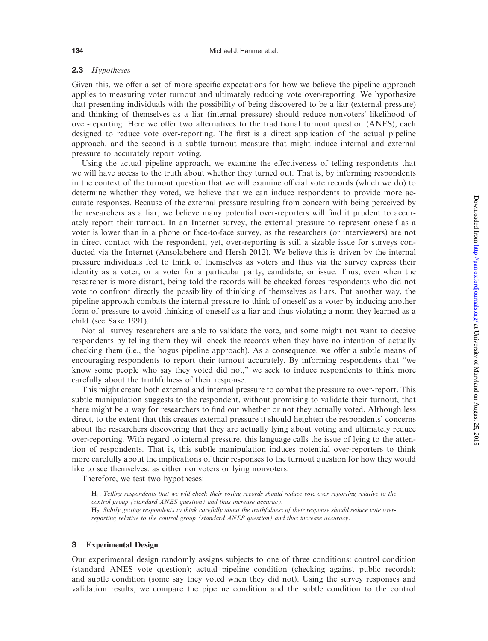# 2.3 Hypotheses

Given this, we offer a set of more specific expectations for how we believe the pipeline approach applies to measuring voter turnout and ultimately reducing vote over-reporting. We hypothesize that presenting individuals with the possibility of being discovered to be a liar (external pressure) and thinking of themselves as a liar (internal pressure) should reduce nonvoters' likelihood of over-reporting. Here we offer two alternatives to the traditional turnout question (ANES), each designed to reduce vote over-reporting. The first is a direct application of the actual pipeline approach, and the second is a subtle turnout measure that might induce internal and external pressure to accurately report voting.

Using the actual pipeline approach, we examine the effectiveness of telling respondents that we will have access to the truth about whether they turned out. That is, by informing respondents in the context of the turnout question that we will examine official vote records (which we do) to determine whether they voted, we believe that we can induce respondents to provide more accurate responses. Because of the external pressure resulting from concern with being perceived by the researchers as a liar, we believe many potential over-reporters will find it prudent to accurately report their turnout. In an Internet survey, the external pressure to represent oneself as a voter is lower than in a phone or face-to-face survey, as the researchers (or interviewers) are not in direct contact with the respondent; yet, over-reporting is still a sizable issue for surveys conducted via the Internet ([Ansolabehere and Hersh 2012](#page-10-0)). We believe this is driven by the internal pressure individuals feel to think of themselves as voters and thus via the survey express their identity as a voter, or a voter for a particular party, candidate, or issue. Thus, even when the researcher is more distant, being told the records will be checked forces respondents who did not vote to confront directly the possibility of thinking of themselves as liars. Put another way, the pipeline approach combats the internal pressure to think of oneself as a voter by inducing another form of pressure to avoid thinking of oneself as a liar and thus violating a norm they learned as a child (see [Saxe 1991\)](#page-11-0).

Not all survey researchers are able to validate the vote, and some might not want to deceive respondents by telling them they will check the records when they have no intention of actually checking them (i.e., the bogus pipeline approach). As a consequence, we offer a subtle means of encouraging respondents to report their turnout accurately. By informing respondents that "we know some people who say they voted did not," we seek to induce respondents to think more carefully about the truthfulness of their response.

This might create both external and internal pressure to combat the pressure to over-report. This subtle manipulation suggests to the respondent, without promising to validate their turnout, that there might be a way for researchers to find out whether or not they actually voted. Although less direct, to the extent that this creates external pressure it should heighten the respondents' concerns about the researchers discovering that they are actually lying about voting and ultimately reduce over-reporting. With regard to internal pressure, this language calls the issue of lying to the attention of respondents. That is, this subtle manipulation induces potential over-reporters to think more carefully about the implications of their responses to the turnout question for how they would like to see themselves: as either nonvoters or lying nonvoters.

Therefore, we test two hypotheses:

H1: Telling respondents that we will check their voting records should reduce vote over-reporting relative to the control group (standard ANES question) and thus increase accuracy. H2: Subtly getting respondents to think carefully about the truthfulness of their response should reduce vote overreporting relative to the control group (standard ANES question) and thus increase accuracy.

## 3 Experimental Design

Our experimental design randomly assigns subjects to one of three conditions: control condition (standard ANES vote question); actual pipeline condition (checking against public records); and subtle condition (some say they voted when they did not). Using the survey responses and validation results, we compare the pipeline condition and the subtle condition to the control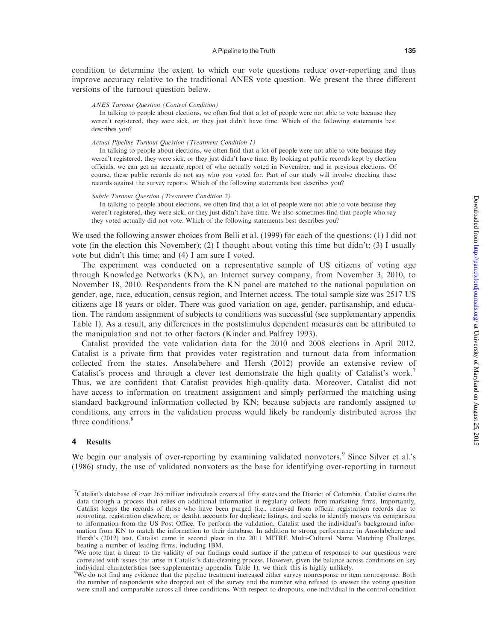condition to determine the extent to which our vote questions reduce over-reporting and thus improve accuracy relative to the traditional ANES vote question. We present the three different versions of the turnout question below.

#### ANES Turnout Question (Control Condition)

In talking to people about elections, we often find that a lot of people were not able to vote because they weren't registered, they were sick, or they just didn't have time. Which of the following statements best describes you?

#### Actual Pipeline Turnout Question (Treatment Condition 1)

In talking to people about elections, we often find that a lot of people were not able to vote because they weren't registered, they were sick, or they just didn't have time. By looking at public records kept by election officials, we can get an accurate report of who actually voted in November, and in previous elections. Of course, these public records do not say who you voted for. Part of our study will involve checking these records against the survey reports. Which of the following statements best describes you?

### Subtle Turnout Question (Treatment Condition 2)

In talking to people about elections, we often find that a lot of people were not able to vote because they weren't registered, they were sick, or they just didn't have time. We also sometimes find that people who say they voted actually did not vote. Which of the following statements best describes you?

We used the following answer choices from [Belli et al. \(1999\)](#page-10-0) for each of the questions: (1) I did not vote (in the election this November); (2) I thought about voting this time but didn't; (3) I usually vote but didn't this time; and (4) I am sure I voted.

The experiment was conducted on a representative sample of US citizens of voting age through Knowledge Networks (KN), an Internet survey company, from November 3, 2010, to November 18, 2010. Respondents from the KN panel are matched to the national population on gender, age, race, education, census region, and Internet access. The total sample size was 2517 US citizens age 18 years or older. There was good variation on age, gender, partisanship, and education. The random assignment of subjects to conditions was successful (see [supplementary appendix](http://pan.oxfordjournals.org/lookup/suppl/doi:10.1093/pan/mpt027/-/DC1) [Table 1](http://pan.oxfordjournals.org/lookup/suppl/doi:10.1093/pan/mpt027/-/DC1)). As a result, any differences in the poststimulus dependent measures can be attributed to the manipulation and not to other factors [\(Kinder and Palfrey 1993](#page-11-0)).

Catalist provided the vote validation data for the 2010 and 2008 elections in April 2012. Catalist is a private firm that provides voter registration and turnout data from information collected from the states. [Ansolabehere and Hersh \(2012\)](#page-10-0) provide an extensive review of Catalist's process and through a clever test demonstrate the high quality of Catalist's work.<sup>7</sup> Thus, we are confident that Catalist provides high-quality data. Moreover, Catalist did not have access to information on treatment assignment and simply performed the matching using standard background information collected by KN; because subjects are randomly assigned to conditions, any errors in the validation process would likely be randomly distributed across the three conditions.<sup>8</sup>

### 4 Results

We begin our analysis of over-reporting by examining validated nonvoters.<sup>9</sup> Since [Silver et al.'s](#page-11-0) [\(1986\)](#page-11-0) study, the use of validated nonvoters as the base for identifying over-reporting in turnout

<sup>7</sup> Catalist's database of over 265 million individuals covers all fifty states and the District of Columbia. Catalist cleans the data through a process that relies on additional information it regularly collects from marketing firms. Importantly, Catalist keeps the records of those who have been purged (i.e., removed from official registration records due to nonvoting, registration elsewhere, or death), accounts for duplicate listings, and seeks to identify movers via comparison to information from the US Post Office. To perform the validation, Catalist used the individual's background information from KN to match the information to their database. In addition to strong performance in [Ansolabehere and](#page-10-0) [Hersh's \(2012\)](#page-10-0) test, Catalist came in second place in the 2011 MITRE Multi-Cultural Name Matching Challenge, beating a number of leading firms, including IBM.

<sup>&</sup>lt;sup>8</sup>We note that a threat to the validity of our findings could surface if the pattern of responses to our questions were correlated with issues that arise in Catalist's data-cleaning process. However, given the balance across conditions on key individual characteristics (see [supplementary appendix Table 1\)](http://pan.oxfordjournals.org/lookup/suppl/doi:10.1093/pan/mpt027/-/DC1), we think this is highly unlikely.

We do not find any evidence that the pipeline treatment increased either survey nonresponse or item nonresponse. Both the number of respondents who dropped out of the survey and the number who refused to answer the voting question were small and comparable across all three conditions. With respect to dropouts, one individual in the control condition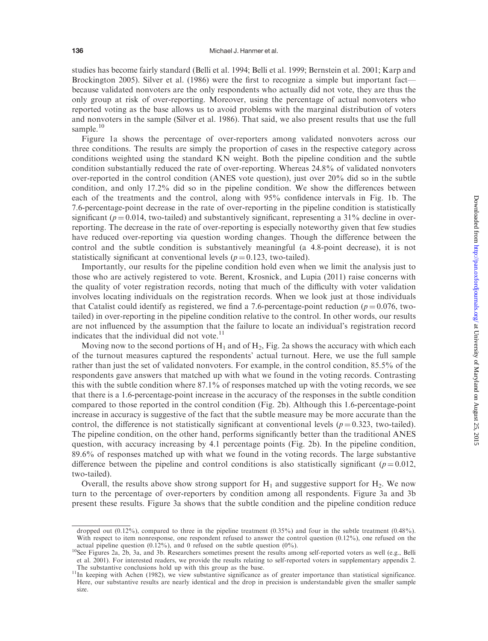studies has become fairly standard [\(Belli et al. 1994](#page-10-0); [Belli et al. 1999; Bernstein et al. 2001;](#page-10-0) [Karp and](#page-11-0) [Brockington 2005\)](#page-11-0). [Silver et al. \(1986\)](#page-11-0) were the first to recognize a simple but important fact because validated nonvoters are the only respondents who actually did not vote, they are thus the only group at risk of over-reporting. Moreover, using the percentage of actual nonvoters who reported voting as the base allows us to avoid problems with the marginal distribution of voters and nonvoters in the sample [\(Silver et al. 1986](#page-11-0)). That said, we also present results that use the full sample. $10$ 

[Figure 1a](#page-7-0) shows the percentage of over-reporters among validated nonvoters across our three conditions. The results are simply the proportion of cases in the respective category across conditions weighted using the standard KN weight. Both the pipeline condition and the subtle condition substantially reduced the rate of over-reporting. Whereas 24.8% of validated nonvoters over-reported in the control condition (ANES vote question), just over 20% did so in the subtle condition, and only 17.2% did so in the pipeline condition. We show the differences between each of the treatments and the control, along with 95% confidence intervals in [Fig. 1](#page-7-0)b. The 7.6-percentage-point decrease in the rate of over-reporting in the pipeline condition is statistically significant ( $p = 0.014$ , two-tailed) and substantively significant, representing a 31% decline in overreporting. The decrease in the rate of over-reporting is especially noteworthy given that few studies have reduced over-reporting via question wording changes. Though the difference between the control and the subtle condition is substantively meaningful (a 4.8-point decrease), it is not statistically significant at conventional levels  $(p = 0.123$ , two-tailed).

Importantly, our results for the pipeline condition hold even when we limit the analysis just to those who are actively registered to vote. Berent, Krosnick, and Lupia (2011) raise concerns with the quality of voter registration records, noting that much of the difficulty with voter validation involves locating individuals on the registration records. When we look just at those individuals that Catalist could identify as registered, we find a 7.6-percentage-point reduction ( $p = 0.076$ , twotailed) in over-reporting in the pipeline condition relative to the control. In other words, our results are not influenced by the assumption that the failure to locate an individual's registration record indicates that the individual did not vote. $11$ 

Moving now to the second portions of  $H_1$  and of  $H_2$ , [Fig. 2a](#page-8-0) shows the accuracy with which each of the turnout measures captured the respondents' actual turnout. Here, we use the full sample rather than just the set of validated nonvoters. For example, in the control condition, 85.5% of the respondents gave answers that matched up with what we found in the voting records. Contrasting this with the subtle condition where 87.1% of responses matched up with the voting records, we see that there is a 1.6-percentage-point increase in the accuracy of the responses in the subtle condition compared to those reported in the control condition [\(Fig. 2](#page-8-0)b). Although this 1.6-percentage-point increase in accuracy is suggestive of the fact that the subtle measure may be more accurate than the control, the difference is not statistically significant at conventional levels ( $p = 0.323$ , two-tailed). The pipeline condition, on the other hand, performs significantly better than the traditional ANES question, with accuracy increasing by 4.1 percentage points [\(Fig. 2](#page-8-0)b). In the pipeline condition, 89.6% of responses matched up with what we found in the voting records. The large substantive difference between the pipeline and control conditions is also statistically significant ( $p = 0.012$ , two-tailed).

Overall, the results above show strong support for  $H_1$  and suggestive support for  $H_2$ . We now turn to the percentage of over-reporters by condition among all respondents. [Figure 3](#page-9-0)a and [3](#page-9-0)b present these results. [Figure 3](#page-9-0)a shows that the subtle condition and the pipeline condition reduce

dropped out (0.12%), compared to three in the pipeline treatment (0.35%) and four in the subtle treatment (0.48%). With respect to item nonresponse, one respondent refused to answer the control question  $(0.12\%)$ , one refused on the actual pipeline question  $(0.12\%)$ , and 0 refused on the subtle question  $(0\%)$ .

<sup>&</sup>lt;sup>10</sup>See [Figures 2](#page-8-0)a, [2](#page-8-0)b, [3](#page-9-0)a, and [3b](#page-9-0). Researchers sometimes present the results among self-reported voters as well (e.g., [Belli](#page-10-0) [et al. 2001\)](#page-10-0). For interested readers, we provide the results relating to self-reported voters in [supplementary](http://pan.oxfordjournals.org/lookup/suppl/doi:10.1093/pan/mpt027/-/DC1) appendix 2.

The substantive conclusions hold up with this group as the base.<br><sup>11</sup>In keeping with [Achen \(1982\),](#page-10-0) we view substantive significance as of greater importance than statistical significance. Here, our substantive results are nearly identical and the drop in precision is understandable given the smaller sample size.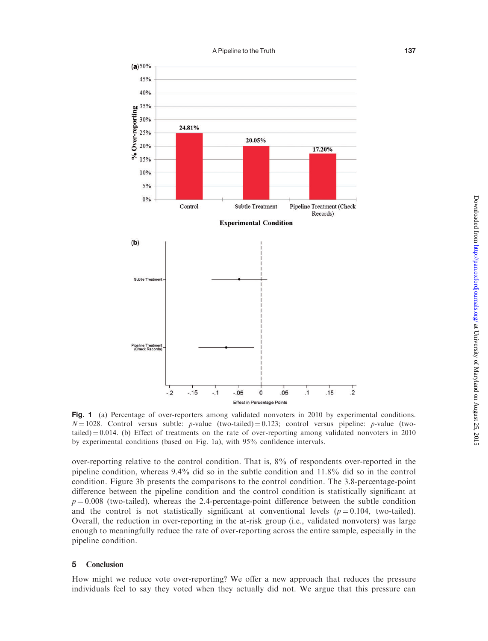<span id="page-7-0"></span>

Fig. 1 (a) Percentage of over-reporters among validated nonvoters in 2010 by experimental conditions.  $N = 1028$ . Control versus subtle: p-value (two-tailed) = 0.123; control versus pipeline: p-value (twotailed)  $= 0.014$ . (b) Effect of treatments on the rate of over-reporting among validated nonvoters in 2010 by experimental conditions (based on Fig. 1a), with 95% confidence intervals.

over-reporting relative to the control condition. That is, 8% of respondents over-reported in the pipeline condition, whereas 9.4% did so in the subtle condition and 11.8% did so in the control condition. [Figure 3b](#page-9-0) presents the comparisons to the control condition. The 3.8-percentage-point difference between the pipeline condition and the control condition is statistically significant at  $p = 0.008$  (two-tailed), whereas the 2.4-percentage-point difference between the subtle condition and the control is not statistically significant at conventional levels  $(p=0.104,$  two-tailed). Overall, the reduction in over-reporting in the at-risk group (i.e., validated nonvoters) was large enough to meaningfully reduce the rate of over-reporting across the entire sample, especially in the pipeline condition.

# 5 Conclusion

How might we reduce vote over-reporting? We offer a new approach that reduces the pressure individuals feel to say they voted when they actually did not. We argue that this pressure can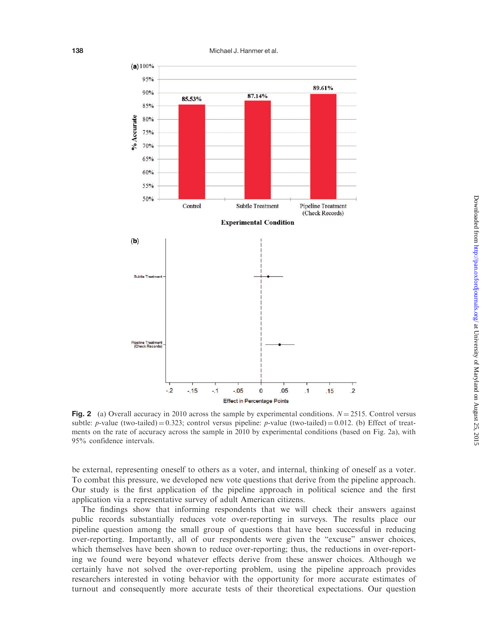<span id="page-8-0"></span>138 Michael J. Hanmer et al.



Fig. 2 (a) Overall accuracy in 2010 across the sample by experimental conditions.  $N = 2515$ . Control versus subtle: p-value (two-tailed) = 0.323; control versus pipeline: p-value (two-tailed) = 0.012. (b) Effect of treatments on the rate of accuracy across the sample in 2010 by experimental conditions (based on Fig. 2a), with 95% confidence intervals.

be external, representing oneself to others as a voter, and internal, thinking of oneself as a voter. To combat this pressure, we developed new vote questions that derive from the pipeline approach. Our study is the first application of the pipeline approach in political science and the first application via a representative survey of adult American citizens.

The findings show that informing respondents that we will check their answers against public records substantially reduces vote over-reporting in surveys. The results place our pipeline question among the small group of questions that have been successful in reducing over-reporting. Importantly, all of our respondents were given the "excuse" answer choices, which themselves have been shown to reduce over-reporting; thus, the reductions in over-reporting we found were beyond whatever effects derive from these answer choices. Although we certainly have not solved the over-reporting problem, using the pipeline approach provides researchers interested in voting behavior with the opportunity for more accurate estimates of turnout and consequently more accurate tests of their theoretical expectations. Our question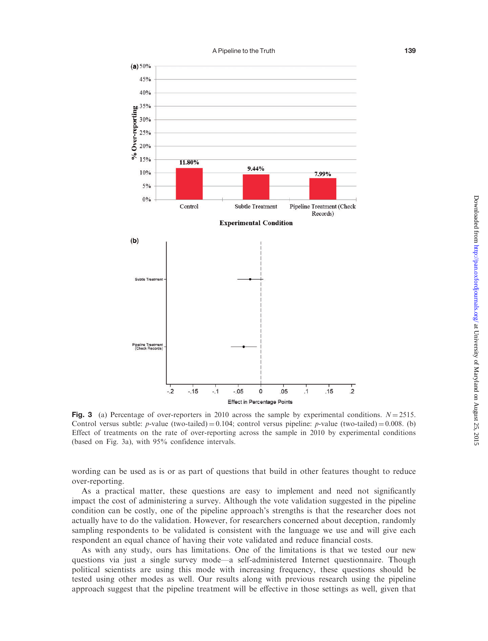<span id="page-9-0"></span>

Fig. 3 (a) Percentage of over-reporters in 2010 across the sample by experimental conditions.  $N = 2515$ . Control versus subtle: p-value (two-tailed) = 0.104; control versus pipeline: p-value (two-tailed) = 0.008. (b) Effect of treatments on the rate of over-reporting across the sample in 2010 by experimental conditions (based on Fig. 3a), with 95% confidence intervals.

wording can be used as is or as part of questions that build in other features thought to reduce over-reporting.

As a practical matter, these questions are easy to implement and need not significantly impact the cost of administering a survey. Although the vote validation suggested in the pipeline condition can be costly, one of the pipeline approach's strengths is that the researcher does not actually have to do the validation. However, for researchers concerned about deception, randomly sampling respondents to be validated is consistent with the language we use and will give each respondent an equal chance of having their vote validated and reduce financial costs.

As with any study, ours has limitations. One of the limitations is that we tested our new questions via just a single survey mode—a self-administered Internet questionnaire. Though political scientists are using this mode with increasing frequency, these questions should be tested using other modes as well. Our results along with previous research using the pipeline approach suggest that the pipeline treatment will be effective in those settings as well, given that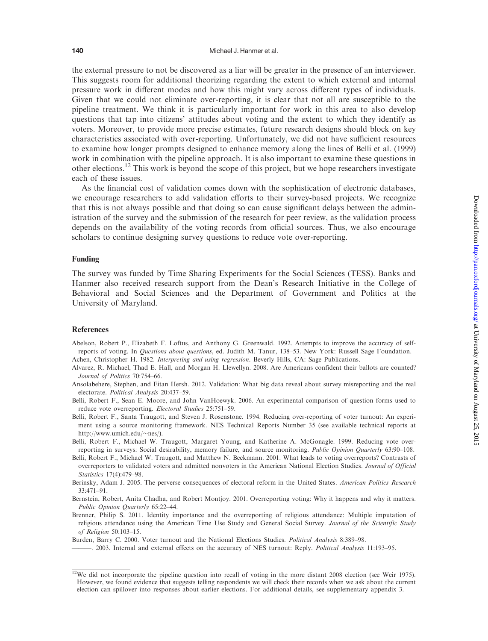<span id="page-10-0"></span>the external pressure to not be discovered as a liar will be greater in the presence of an interviewer. This suggests room for additional theorizing regarding the extent to which external and internal pressure work in different modes and how this might vary across different types of individuals. Given that we could not eliminate over-reporting, it is clear that not all are susceptible to the pipeline treatment. We think it is particularly important for work in this area to also develop questions that tap into citizens' attitudes about voting and the extent to which they identify as voters. Moreover, to provide more precise estimates, future research designs should block on key characteristics associated with over-reporting. Unfortunately, we did not have sufficient resources to examine how longer prompts designed to enhance memory along the lines of Belli et al. (1999) work in combination with the pipeline approach. It is also important to examine these questions in other elections.<sup>12</sup> This work is beyond the scope of this project, but we hope researchers investigate each of these issues.

As the financial cost of validation comes down with the sophistication of electronic databases, we encourage researchers to add validation efforts to their survey-based projects. We recognize that this is not always possible and that doing so can cause significant delays between the administration of the survey and the submission of the research for peer review, as the validation process depends on the availability of the voting records from official sources. Thus, we also encourage scholars to continue designing survey questions to reduce vote over-reporting.

### Funding

The survey was funded by Time Sharing Experiments for the Social Sciences (TESS). Banks and Hanmer also received research support from the Dean's Research Initiative in the College of Behavioral and Social Sciences and the Department of Government and Politics at the University of Maryland.

### References

Abelson, Robert P., Elizabeth F. Loftus, and Anthony G. Greenwald. 1992. Attempts to improve the accuracy of selfreports of voting. In Questions about questions, ed. Judith M. Tanur, 138–53. New York: Russell Sage Foundation.

Achen, Christopher H. 1982. Interpreting and using regression. Beverly Hills, CA: Sage Publications.

Alvarez, R. Michael, Thad E. Hall, and Morgan H. Llewellyn. 2008. Are Americans confident their ballots are counted? Journal of Politics 70:754–66.

- Ansolabehere, Stephen, and Eitan Hersh. 2012. Validation: What big data reveal about survey misreporting and the real electorate. Political Analysis 20:437–59.
- Belli, Robert F., Sean E. Moore, and John VanHoewyk. 2006. An experimental comparison of question forms used to reduce vote overreporting. Electoral Studies 25:751–59.
- Belli, Robert F., Santa Traugott, and Steven J. Rosenstone. 1994. Reducing over-reporting of voter turnout: An experiment using a source monitoring framework. NES Technical Reports Number 35 (see available technical reports at [http://www.umich.edu/](http://www.umich.edu/~nes/)~[nes/](http://www.umich.edu/~nes/)).
- Belli, Robert F., Michael W. Traugott, Margaret Young, and Katherine A. McGonagle. 1999. Reducing vote overreporting in surveys: Social desirability, memory failure, and source monitoring. Public Opinion Quarterly 63:90–108.
- Belli, Robert F., Michael W. Traugott, and Matthew N. Beckmann. 2001. What leads to voting overreports? Contrasts of overreporters to validated voters and admitted nonvoters in the American National Election Studies. Journal of Official Statistics 17(4):479–98.
- Berinsky, Adam J. 2005. The perverse consequences of electoral reform in the United States. American Politics Research 33:471–91.
- Bernstein, Robert, Anita Chadha, and Robert Montjoy. 2001. Overreporting voting: Why it happens and why it matters. Public Opinion Quarterly 65:22–44.
- Brenner, Philip S. 2011. Identity importance and the overreporting of religious attendance: Multiple imputation of religious attendance using the American Time Use Study and General Social Survey. Journal of the Scientific Study of Religion 50:103–15.

Burden, Barry C. 2000. Voter turnout and the National Elections Studies. Political Analysis 8:389–98.

-. 2003. Internal and external effects on the accuracy of NES turnout: Reply. Political Analysis 11:193-95.

 $12$ We did not incorporate the pipeline question into recall of voting in the more distant 2008 election (see [Weir 1975\)](#page-11-0). However, we found evidence that suggests telling respondents we will check their records when we ask about the current election can spillover into responses about earlier elections. For additional details, see [supplementary](http://pan.oxfordjournals.org/lookup/suppl/doi:10.1093/pan/mpt027/-/DC1) appendix 3.